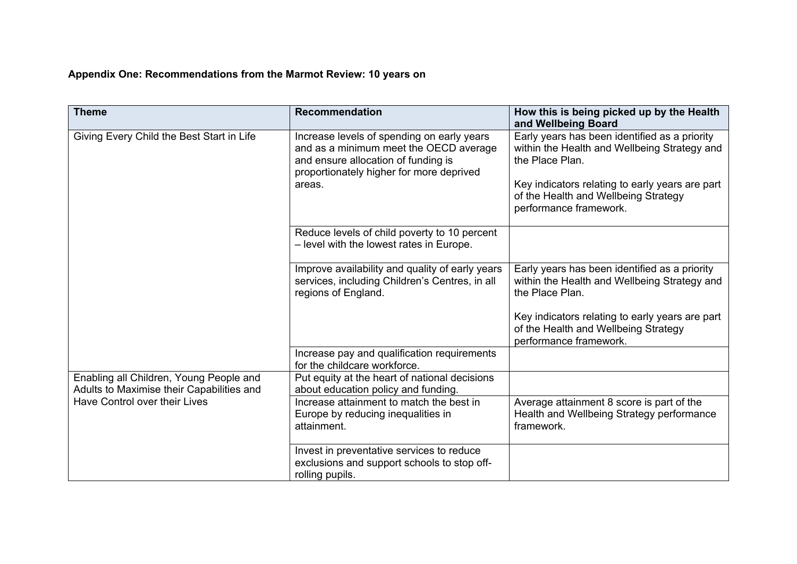## **Appendix One: Recommendations from the Marmot Review: 10 years on**

| <b>Theme</b>                                                                         | <b>Recommendation</b>                                                                                                                                                             | How this is being picked up by the Health<br>and Wellbeing Board                                                                                                                                                                      |
|--------------------------------------------------------------------------------------|-----------------------------------------------------------------------------------------------------------------------------------------------------------------------------------|---------------------------------------------------------------------------------------------------------------------------------------------------------------------------------------------------------------------------------------|
| Giving Every Child the Best Start in Life                                            | Increase levels of spending on early years<br>and as a minimum meet the OECD average<br>and ensure allocation of funding is<br>proportionately higher for more deprived<br>areas. | Early years has been identified as a priority<br>within the Health and Wellbeing Strategy and<br>the Place Plan.<br>Key indicators relating to early years are part<br>of the Health and Wellbeing Strategy<br>performance framework. |
|                                                                                      | Reduce levels of child poverty to 10 percent<br>- level with the lowest rates in Europe.                                                                                          |                                                                                                                                                                                                                                       |
|                                                                                      | Improve availability and quality of early years<br>services, including Children's Centres, in all<br>regions of England.                                                          | Early years has been identified as a priority<br>within the Health and Wellbeing Strategy and<br>the Place Plan.                                                                                                                      |
|                                                                                      |                                                                                                                                                                                   | Key indicators relating to early years are part<br>of the Health and Wellbeing Strategy<br>performance framework.                                                                                                                     |
|                                                                                      | Increase pay and qualification requirements<br>for the childcare workforce.                                                                                                       |                                                                                                                                                                                                                                       |
| Enabling all Children, Young People and<br>Adults to Maximise their Capabilities and | Put equity at the heart of national decisions<br>about education policy and funding.                                                                                              |                                                                                                                                                                                                                                       |
| Have Control over their Lives                                                        | Increase attainment to match the best in<br>Europe by reducing inequalities in<br>attainment.                                                                                     | Average attainment 8 score is part of the<br>Health and Wellbeing Strategy performance<br>framework.                                                                                                                                  |
|                                                                                      | Invest in preventative services to reduce<br>exclusions and support schools to stop off-<br>rolling pupils.                                                                       |                                                                                                                                                                                                                                       |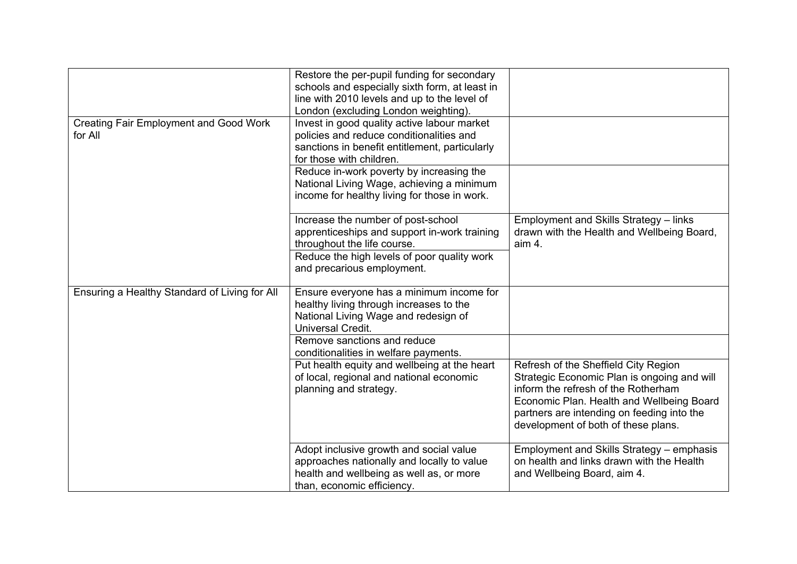| <b>Creating Fair Employment and Good Work</b><br>for All | Restore the per-pupil funding for secondary<br>schools and especially sixth form, at least in<br>line with 2010 levels and up to the level of<br>London (excluding London weighting).<br>Invest in good quality active labour market<br>policies and reduce conditionalities and<br>sanctions in benefit entitlement, particularly<br>for those with children. |                                                                                                                                                                                                                                                              |
|----------------------------------------------------------|----------------------------------------------------------------------------------------------------------------------------------------------------------------------------------------------------------------------------------------------------------------------------------------------------------------------------------------------------------------|--------------------------------------------------------------------------------------------------------------------------------------------------------------------------------------------------------------------------------------------------------------|
|                                                          | Reduce in-work poverty by increasing the<br>National Living Wage, achieving a minimum<br>income for healthy living for those in work.                                                                                                                                                                                                                          |                                                                                                                                                                                                                                                              |
|                                                          | Increase the number of post-school<br>apprenticeships and support in-work training<br>throughout the life course.<br>Reduce the high levels of poor quality work<br>and precarious employment.                                                                                                                                                                 | Employment and Skills Strategy - links<br>drawn with the Health and Wellbeing Board,<br>aim 4.                                                                                                                                                               |
| Ensuring a Healthy Standard of Living for All            | Ensure everyone has a minimum income for<br>healthy living through increases to the<br>National Living Wage and redesign of<br>Universal Credit.                                                                                                                                                                                                               |                                                                                                                                                                                                                                                              |
|                                                          | Remove sanctions and reduce<br>conditionalities in welfare payments.                                                                                                                                                                                                                                                                                           |                                                                                                                                                                                                                                                              |
|                                                          | Put health equity and wellbeing at the heart<br>of local, regional and national economic<br>planning and strategy.                                                                                                                                                                                                                                             | Refresh of the Sheffield City Region<br>Strategic Economic Plan is ongoing and will<br>inform the refresh of the Rotherham<br>Economic Plan. Health and Wellbeing Board<br>partners are intending on feeding into the<br>development of both of these plans. |
|                                                          | Adopt inclusive growth and social value<br>approaches nationally and locally to value<br>health and wellbeing as well as, or more<br>than, economic efficiency.                                                                                                                                                                                                | Employment and Skills Strategy - emphasis<br>on health and links drawn with the Health<br>and Wellbeing Board, aim 4.                                                                                                                                        |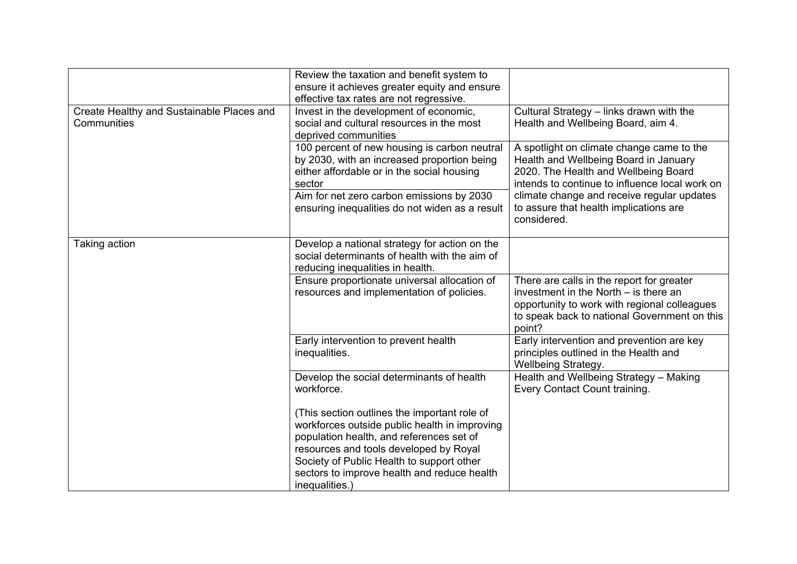|                                                          | Review the taxation and benefit system to<br>ensure it achieves greater equity and ensure<br>effective tax rates are not regressive.                                                                                                                                                              |                                                                                                                                                                                                |
|----------------------------------------------------------|---------------------------------------------------------------------------------------------------------------------------------------------------------------------------------------------------------------------------------------------------------------------------------------------------|------------------------------------------------------------------------------------------------------------------------------------------------------------------------------------------------|
| Create Healthy and Sustainable Places and<br>Communities | Invest in the development of economic,<br>social and cultural resources in the most<br>deprived communities                                                                                                                                                                                       | Cultural Strategy - links drawn with the<br>Health and Wellbeing Board, aim 4.                                                                                                                 |
|                                                          | 100 percent of new housing is carbon neutral<br>by 2030, with an increased proportion being<br>either affordable or in the social housing<br>sector                                                                                                                                               | A spotlight on climate change came to the<br>Health and Wellbeing Board in January<br>2020. The Health and Wellbeing Board<br>intends to continue to influence local work on                   |
|                                                          | Aim for net zero carbon emissions by 2030<br>ensuring inequalities do not widen as a result                                                                                                                                                                                                       | climate change and receive regular updates<br>to assure that health implications are<br>considered.                                                                                            |
| Taking action                                            | Develop a national strategy for action on the<br>social determinants of health with the aim of<br>reducing inequalities in health.                                                                                                                                                                |                                                                                                                                                                                                |
|                                                          | Ensure proportionate universal allocation of<br>resources and implementation of policies.                                                                                                                                                                                                         | There are calls in the report for greater<br>investment in the North $-$ is there an<br>opportunity to work with regional colleagues<br>to speak back to national Government on this<br>point? |
|                                                          | Early intervention to prevent health<br>inequalities.                                                                                                                                                                                                                                             | Early intervention and prevention are key<br>principles outlined in the Health and<br>Wellbeing Strategy.                                                                                      |
|                                                          | Develop the social determinants of health<br>workforce.                                                                                                                                                                                                                                           | Health and Wellbeing Strategy - Making<br>Every Contact Count training.                                                                                                                        |
|                                                          | (This section outlines the important role of<br>workforces outside public health in improving<br>population health, and references set of<br>resources and tools developed by Royal<br>Society of Public Health to support other<br>sectors to improve health and reduce health<br>inequalities.) |                                                                                                                                                                                                |